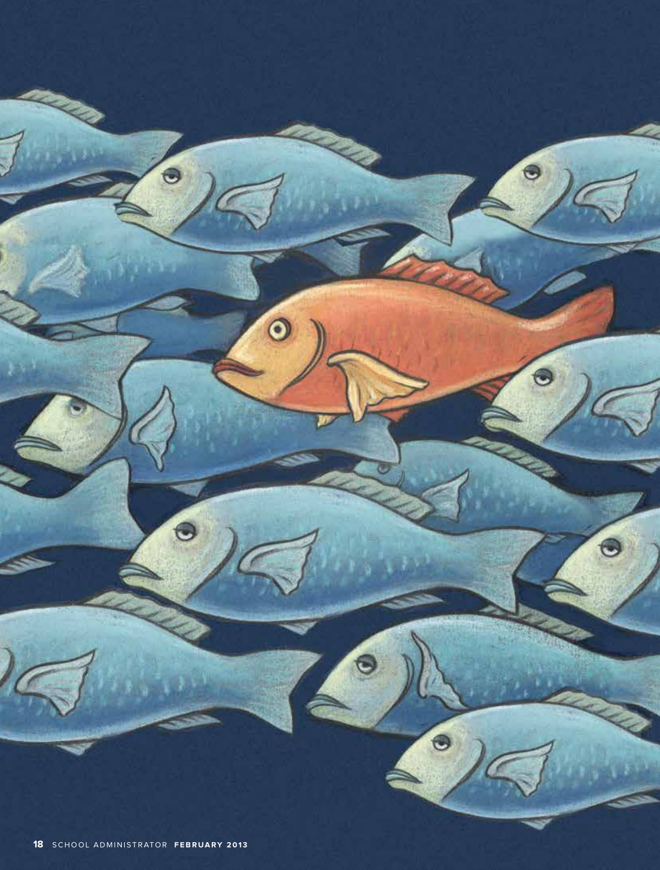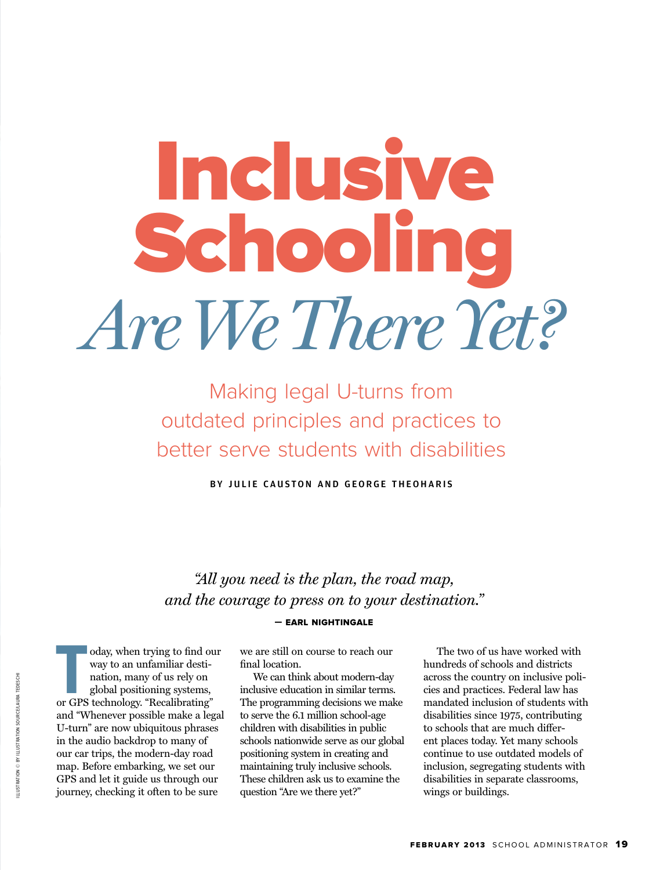# Inclusive Schooling *Are We There Yet?*

Making legal U-turns from outdated principles and practices to better serve students with disabilities

BY JULIE CAUSTON AND GEORGE THEOHARIS

*"All you need is the plan, the road map, and the courage to press on to your destination."*

# — Earl Nightingale

or GRS, when trying to find ou way to an unfamiliar destination, many of us rely on global positioning systems, or GPS technology. "Recalibrating" oday, when trying to find our way to an unfamiliar destination, many of us rely on global positioning systems, and "Whenever possible make a legal U-turn" are now ubiquitous phrases in the audio backdrop to many of our car trips, the modern-day road map. Before embarking, we set our GPS and let it guide us through our journey, checking it often to be sure

we are still on course to reach our final location.

We can think about modern-day inclusive education in similar terms. The programming decisions we make to serve the 6.1 million school-age children with disabilities in public schools nationwide serve as our global positioning system in creating and maintaining truly inclusive schools. These children ask us to examine the question "Are we there yet?"

The two of us have worked with hundreds of schools and districts across the country on inclusive policies and practices. Federal law has mandated inclusion of students with disabilities since 1975, contributing to schools that are much different places today. Yet many schools continue to use outdated models of inclusion, segregating students with disabilities in separate classrooms, wings or buildings.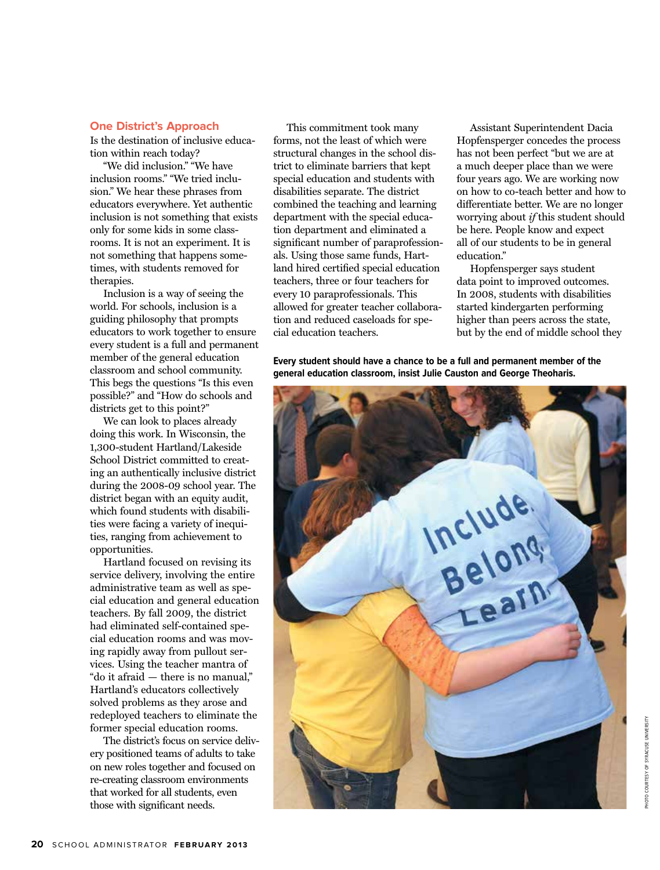## **One District's Approach**

Is the destination of inclusive education within reach today?

"We did inclusion." "We have inclusion rooms." "We tried inclusion." We hear these phrases from educators everywhere. Yet authentic inclusion is not something that exists only for some kids in some classrooms. It is not an experiment. It is not something that happens sometimes, with students removed for therapies.

Inclusion is a way of seeing the world. For schools, inclusion is a guiding philosophy that prompts educators to work together to ensure every student is a full and permanent member of the general education classroom and school community. This begs the questions "Is this even possible?" and "How do schools and districts get to this point?"

We can look to places already doing this work. In Wisconsin, the 1,300-student Hartland/Lakeside School District committed to creating an authentically inclusive district during the 2008-09 school year. The district began with an equity audit, which found students with disabilities were facing a variety of inequities, ranging from achievement to opportunities.

Hartland focused on revising its service delivery, involving the entire administrative team as well as special education and general education teachers. By fall 2009, the district had eliminated self-contained special education rooms and was moving rapidly away from pullout services. Using the teacher mantra of "do it afraid — there is no manual," Hartland's educators collectively solved problems as they arose and redeployed teachers to eliminate the former special education rooms.

The district's focus on service delivery positioned teams of adults to take on new roles together and focused on re-creating classroom environments that worked for all students, even those with significant needs.

This commitment took many forms, not the least of which were structural changes in the school district to eliminate barriers that kept special education and students with disabilities separate. The district combined the teaching and learning department with the special education department and eliminated a significant number of paraprofessionals. Using those same funds, Hartland hired certified special education teachers, three or four teachers for every 10 paraprofessionals. This allowed for greater teacher collaboration and reduced caseloads for special education teachers.

Assistant Superintendent Dacia Hopfensperger concedes the process has not been perfect "but we are at a much deeper place than we were four years ago. We are working now on how to co-teach better and how to differentiate better. We are no longer worrying about *if* this student should be here. People know and expect all of our students to be in general education."

Hopfensperger says student data point to improved outcomes. In 2008, students with disabilities started kindergarten performing higher than peers across the state, but by the end of middle school they

**Every student should have a chance to be a full and permanent member of the general education classroom, insist Julie Causton and George Theoharis.**

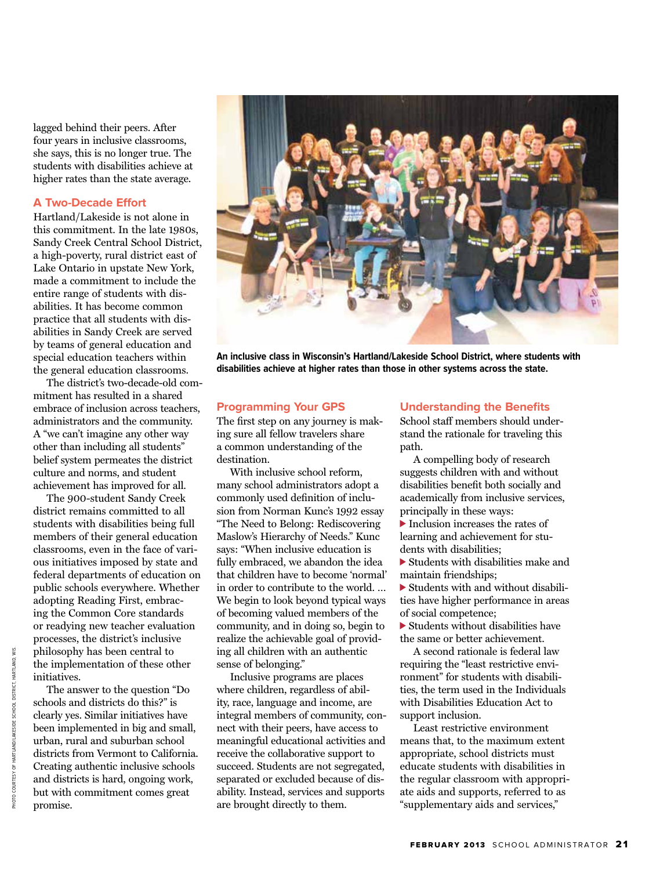lagged behind their peers. After four years in inclusive classrooms, she says, this is no longer true. The students with disabilities achieve at higher rates than the state average.

# **A Two-Decade Effort**

Hartland/Lakeside is not alone in this commitment. In the late 1980s, Sandy Creek Central School District, a high-poverty, rural district east of Lake Ontario in upstate New York, made a commitment to include the entire range of students with disabilities. It has become common practice that all students with disabilities in Sandy Creek are served by teams of general education and special education teachers within the general education classrooms.

The district's two-decade-old commitment has resulted in a shared embrace of inclusion across teachers, administrators and the community. A "we can't imagine any other way other than including all students" belief system permeates the district culture and norms, and student achievement has improved for all.

The 900-student Sandy Creek district remains committed to all students with disabilities being full members of their general education classrooms, even in the face of various initiatives imposed by state and federal departments of education on public schools everywhere. Whether adopting Reading First, embracing the Common Core standards or readying new teacher evaluation processes, the district's inclusive philosophy has been central to the implementation of these other initiatives.

The answer to the question "Do schools and districts do this?" is clearly yes. Similar initiatives have been implemented in big and small, urban, rural and suburban school districts from Vermont to California. Creating authentic inclusive schools and districts is hard, ongoing work, but with commitment comes great promise.



**An inclusive class in Wisconsin's Hartland/Lakeside School District, where students with disabilities achieve at higher rates than those in other systems across the state.**

# **Programming Your GPS**

The first step on any journey is making sure all fellow travelers share a common understanding of the destination.

With inclusive school reform, many school administrators adopt a commonly used definition of inclusion from Norman Kunc's 1992 essay "The Need to Belong: Rediscovering Maslow's Hierarchy of Needs." Kunc says: "When inclusive education is fully embraced, we abandon the idea that children have to become 'normal' in order to contribute to the world. … We begin to look beyond typical ways of becoming valued members of the community, and in doing so, begin to realize the achievable goal of providing all children with an authentic sense of belonging."

Inclusive programs are places where children, regardless of ability, race, language and income, are integral members of community, connect with their peers, have access to meaningful educational activities and receive the collaborative support to succeed. Students are not segregated, separated or excluded because of disability. Instead, services and supports are brought directly to them.

# **Understanding the Benefits**

School staff members should understand the rationale for traveling this path.

A compelling body of research suggests children with and without disabilities benefit both socially and academically from inclusive services, principally in these ways:

 $\blacktriangleright$  Inclusion increases the rates of learning and achievement for students with disabilities;

 $\blacktriangleright$  Students with disabilities make and maintain friendships;

 $\blacktriangleright$  Students with and without disabilities have higher performance in areas of social competence;

 $\blacktriangleright$  Students without disabilities have the same or better achievement.

A second rationale is federal law requiring the "least restrictive environment" for students with disabilities, the term used in the Individuals with Disabilities Education Act to support inclusion.

Least restrictive environment means that, to the maximum extent appropriate, school districts must educate students with disabilities in the regular classroom with appropriate aids and supports, referred to as "supplementary aids and services,"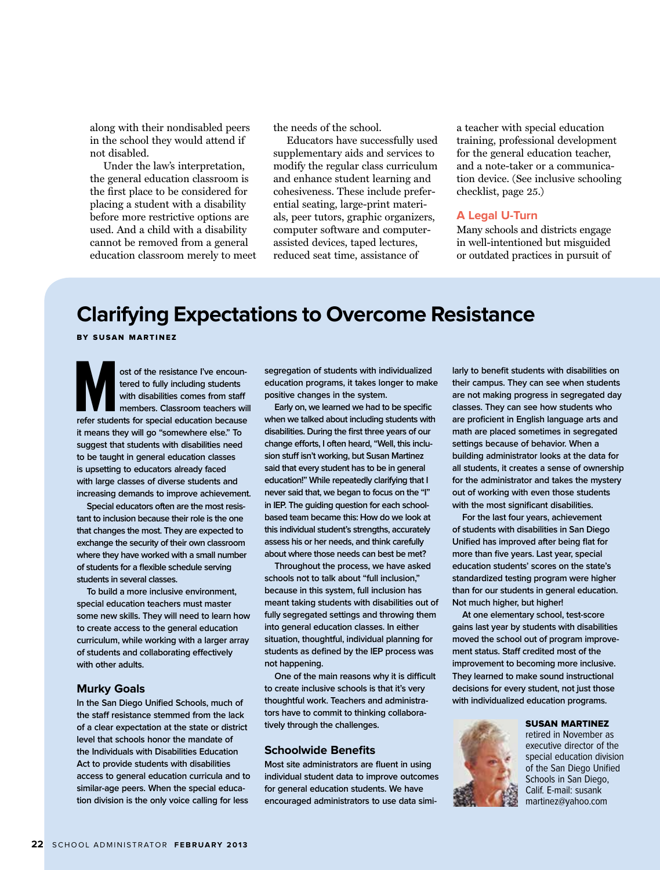along with their nondisabled peers in the school they would attend if not disabled.

Under the law's interpretation, the general education classroom is the first place to be considered for placing a student with a disability before more restrictive options are used. And a child with a disability cannot be removed from a general education classroom merely to meet the needs of the school.

Educators have successfully used supplementary aids and services to modify the regular class curriculum and enhance student learning and cohesiveness. These include preferential seating, large-print materials, peer tutors, graphic organizers, computer software and computerassisted devices, taped lectures, reduced seat time, assistance of

a teacher with special education training, professional development for the general education teacher, and a note-taker or a communication device. (See inclusive schooling checklist, page 25.)

# **A Legal U-Turn**

Many schools and districts engage in well-intentioned but misguided or outdated practices in pursuit of

# **Clarifying Expectations to Overcome Resistance**

#### BY SUSAN MARTINEZ

**M** ost of the resistance I've encountered to fully including students with disabilities comes from staff members. Classroom teachers will refer students for special education because **tered to fully including students with disabilities comes from staff members. Classroom teachers will it means they will go "somewhere else." To suggest that students with disabilities need to be taught in general education classes is upsetting to educators already faced with large classes of diverse students and increasing demands to improve achievement.**

**Special educators often are the most resistant to inclusion because their role is the one that changes the most. They are expected to exchange the security of their own classroom where they have worked with a small number of students for a flexible schedule serving students in several classes.** 

**To build a more inclusive environment, special education teachers must master some new skills. They will need to learn how to create access to the general education curriculum, while working with a larger array of students and collaborating effectively with other adults.**

#### **Murky Goals**

**In the San Diego Unified Schools, much of the staff resistance stemmed from the lack of a clear expectation at the state or district level that schools honor the mandate of the Individuals with Disabilities Education Act to provide students with disabilities access to general education curricula and to similar-age peers. When the special education division is the only voice calling for less** 

**segregation of students with individualized education programs, it takes longer to make positive changes in the system.**

**Early on, we learned we had to be specific when we talked about including students with disabilities. During the first three years of our change efforts, I often heard, "Well, this inclusion stuff isn't working, but Susan Martinez said that every student has to be in general education!" While repeatedly clarifying that I never said that, we began to focus on the "I" in IEP. The guiding question for each schoolbased team became this: How do we look at this individual student's strengths, accurately assess his or her needs, and think carefully about where those needs can best be met?**

**Throughout the process, we have asked schools not to talk about "full inclusion," because in this system, full inclusion has meant taking students with disabilities out of fully segregated settings and throwing them into general education classes. In either situation, thoughtful, individual planning for students as defined by the IEP process was not happening.** 

**One of the main reasons why it is difficult to create inclusive schools is that it's very thoughtful work. Teachers and administrators have to commit to thinking collaboratively through the challenges.**

#### **Schoolwide Benefits**

**Most site administrators are fluent in using individual student data to improve outcomes for general education students. We have encouraged administrators to use data simi-**

**larly to benefit students with disabilities on their campus. They can see when students are not making progress in segregated day classes. They can see how students who are proficient in English language arts and math are placed sometimes in segregated settings because of behavior. When a building administrator looks at the data for all students, it creates a sense of ownership for the administrator and takes the mystery out of working with even those students with the most significant disabilities.**

**For the last four years, achievement of students with disabilities in San Diego Unified has improved after being flat for more than five years. Last year, special education students' scores on the state's standardized testing program were higher than for our students in general education. Not much higher, but higher!** 

**At one elementary school, test-score gains last year by students with disabilities moved the school out of program improvement status. Staff credited most of the improvement to becoming more inclusive. They learned to make sound instructional decisions for every student, not just those with individualized education programs.**



#### Susan Martinez

retired in November as executive director of the special education division of the San Diego Unified Schools in San Diego, Calif. E-mail: susank martinez@yahoo.com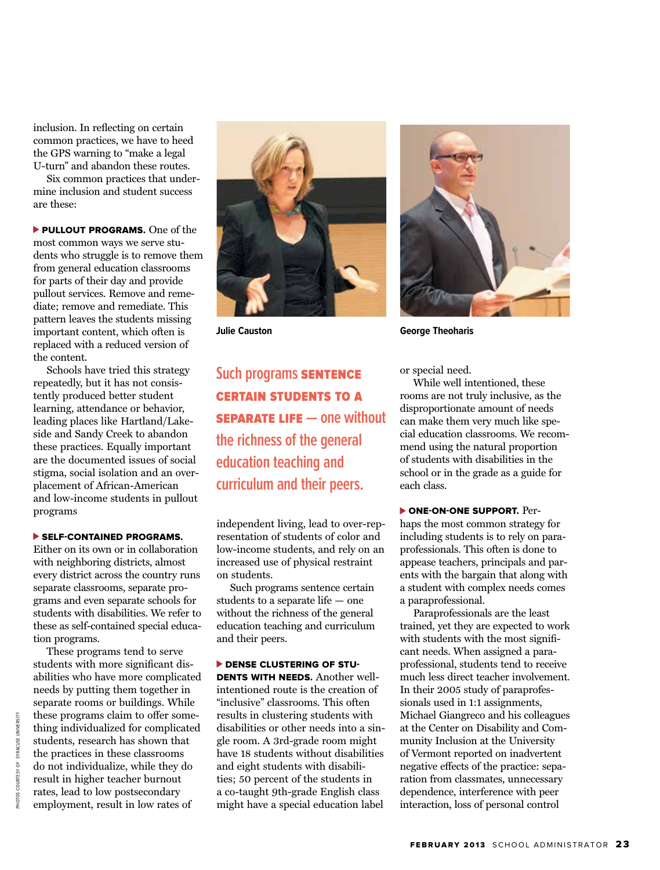inclusion. In reflecting on certain common practices, we have to heed the GPS warning to "make a legal U-turn" and abandon these routes.

Six common practices that undermine inclusion and student success are these:

PULLOUT PROGRAMS. One of the most common ways we serve students who struggle is to remove them from general education classrooms for parts of their day and provide pullout services. Remove and remediate; remove and remediate. This pattern leaves the students missing important content, which often is replaced with a reduced version of the content.

Schools have tried this strategy repeatedly, but it has not consistently produced better student learning, attendance or behavior, leading places like Hartland/Lakeside and Sandy Creek to abandon these practices. Equally important are the documented issues of social stigma, social isolation and an overplacement of African-American and low-income students in pullout programs

### **ELF-CONTAINED PROGRAMS.**

Either on its own or in collaboration with neighboring districts, almost every district across the country runs separate classrooms, separate programs and even separate schools for students with disabilities. We refer to these as self-contained special education programs.

These programs tend to serve students with more significant disabilities who have more complicated needs by putting them together in separate rooms or buildings. While these programs claim to offer something individualized for complicated students, research has shown that the practices in these classrooms do not individualize, while they do result in higher teacher burnout rates, lead to low postsecondary employment, result in low rates of



**Such programs** sentence certain students to a separate life **— one without the richness of the general education teaching and curriculum and their peers.**

independent living, lead to over-representation of students of color and low-income students, and rely on an increased use of physical restraint on students.

Such programs sentence certain students to a separate life — one without the richness of the general education teaching and curriculum and their peers.

**DENSE CLUSTERING OF STU-**DENTS WITH NEEDS. Another wellintentioned route is the creation of "inclusive" classrooms. This often results in clustering students with disabilities or other needs into a single room. A 3rd-grade room might have 18 students without disabilities and eight students with disabilities; 50 percent of the students in a co-taught 9th-grade English class might have a special education label



**Julie Causton George Theoharis** 

or special need.

While well intentioned, these rooms are not truly inclusive, as the disproportionate amount of needs can make them very much like special education classrooms. We recommend using the natural proportion of students with disabilities in the school or in the grade as a guide for each class.

**DONE-ON-ONE SUPPORT.** Perhaps the most common strategy for including students is to rely on paraprofessionals. This often is done to appease teachers, principals and parents with the bargain that along with a student with complex needs comes a paraprofessional.

Paraprofessionals are the least trained, yet they are expected to work with students with the most significant needs. When assigned a paraprofessional, students tend to receive much less direct teacher involvement. In their 2005 study of paraprofessionals used in 1:1 assignments, Michael Giangreco and his colleagues at the Center on Disability and Community Inclusion at the University of Vermont reported on inadvertent negative effects of the practice: separation from classmates, unnecessary dependence, interference with peer interaction, loss of personal control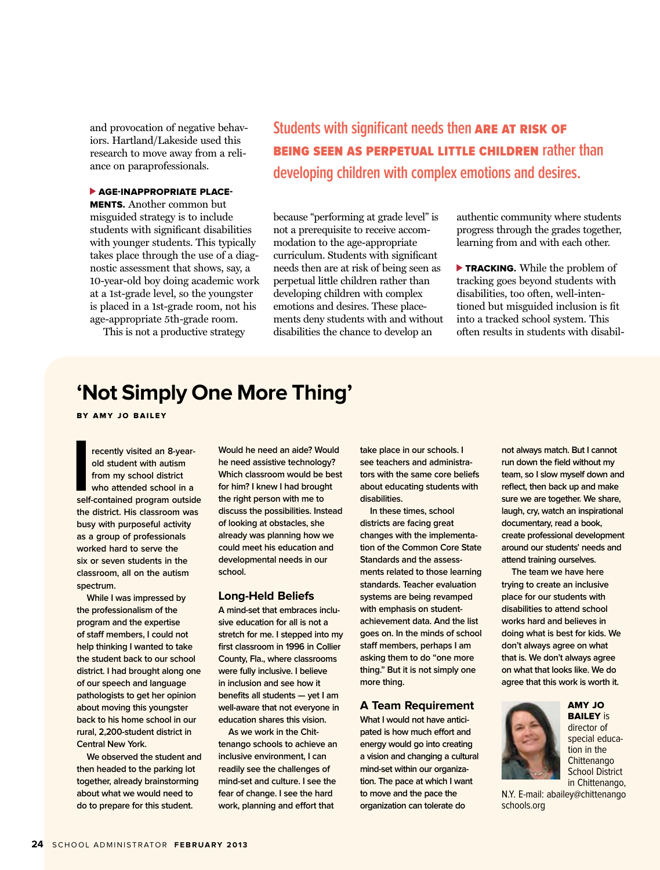and provocation of negative behaviors. Hartland/Lakeside used this research to move away from a reliance on paraprofessionals.

#### **AGE-INAPPROPRIATE PLACE-**

**MENTS.** Another common but misguided strategy is to include students with significant disabilities with younger students. This typically takes place through the use of a diagnostic assessment that shows, say, a 10-year-old boy doing academic work at a 1st-grade level, so the youngster is placed in a 1st-grade room, not his age-appropriate 5th-grade room.

This is not a productive strategy

# **Students with significant needs then ARE AT RISK OF** being seen as perpetual little children **rather than developing children with complex emotions and desires.**

because "performing at grade level" is not a prerequisite to receive accommodation to the age-appropriate curriculum. Students with significant needs then are at risk of being seen as perpetual little children rather than developing children with complex emotions and desires. These placements deny students with and without disabilities the chance to develop an

authentic community where students progress through the grades together, learning from and with each other.

**FRACKING.** While the problem of tracking goes beyond students with disabilities, too often, well-intentioned but misguided inclusion is fit into a tracked school system. This often results in students with disabil-

# **'Not Simply One More Thing'**

BY AMY JO BAILEY

**I**<br> **I**<br> **I**<br> **I**<br> **I**<br> **I recently visited an 8-yearold student with autism from my school district who attended school in a self-contained program outside the district. His classroom was busy with purposeful activity as a group of professionals worked hard to serve the six or seven students in the classroom, all on the autism spectrum.**

**While I was impressed by the professionalism of the program and the expertise of staff members, I could not help thinking I wanted to take the student back to our school district. I had brought along one of our speech and language pathologists to get her opinion about moving this youngster back to his home school in our rural, 2,200-student district in Central New York.**

**We observed the student and then headed to the parking lot together, already brainstorming about what we would need to do to prepare for this student.** 

**Would he need an aide? Would he need assistive technology? Which classroom would be best for him? I knew I had brought the right person with me to discuss the possibilities. Instead of looking at obstacles, she already was planning how we could meet his education and developmental needs in our school.**

#### **Long-Held Beliefs**

**A mind-set that embraces inclusive education for all is not a stretch for me. I stepped into my first classroom in 1996 in Collier County, Fla., where classrooms were fully inclusive. I believe in inclusion and see how it benefits all students — yet I am well-aware that not everyone in education shares this vision.** 

**As we work in the Chittenango schools to achieve an inclusive environment, I can readily see the challenges of mind-set and culture. I see the fear of change. I see the hard work, planning and effort that** 

**take place in our schools. I see teachers and administrators with the same core beliefs about educating students with disabilities.**

**In these times, school districts are facing great changes with the implementation of the Common Core State Standards and the assessments related to those learning standards. Teacher evaluation systems are being revamped with emphasis on studentachievement data. And the list goes on. In the minds of school staff members, perhaps I am asking them to do "one more thing." But it is not simply one more thing.** 

## **A Team Requirement**

**What I would not have anticipated is how much effort and energy would go into creating a vision and changing a cultural mind-set within our organization. The pace at which I want to move and the pace the organization can tolerate do** 

**not always match. But I cannot run down the field without my team, so I slow myself down and reflect, then back up and make sure we are together. We share, laugh, cry, watch an inspirational documentary, read a book, create professional development around our students' needs and attend training ourselves.** 

**The team we have here trying to create an inclusive place for our students with disabilities to attend school works hard and believes in doing what is best for kids. We don't always agree on what that is. We don't always agree on what that looks like. We do agree that this work is worth it.**



**BAILEY** is director of special education in the Chittenango School District in Chittenango,

Amy Jo

N.Y. E-mail: abailey@chittenango schools.org